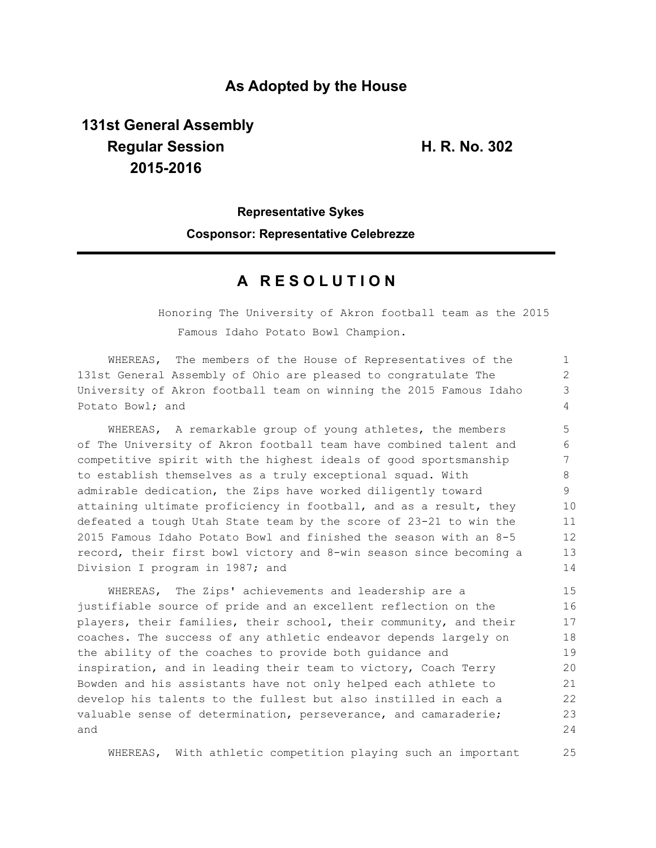### **As Adopted by the House**

# **131st General Assembly Regular Session H. R. No. 302 2015-2016**

1

25

# **Representative Sykes Cosponsor: Representative Celebrezze**

## **A R E S O L U T I O N**

WHEREAS, The members of the House of Representatives of the

Honoring The University of Akron football team as the 2015 Famous Idaho Potato Bowl Champion.

131st General Assembly of Ohio are pleased to congratulate The University of Akron football team on winning the 2015 Famous Idaho Potato Bowl; and WHEREAS, A remarkable group of young athletes, the members of The University of Akron football team have combined talent and competitive spirit with the highest ideals of good sportsmanship to establish themselves as a truly exceptional squad. With admirable dedication, the Zips have worked diligently toward attaining ultimate proficiency in football, and as a result, they defeated a tough Utah State team by the score of 23-21 to win the 2015 Famous Idaho Potato Bowl and finished the season with an 8-5 record, their first bowl victory and 8-win season since becoming a Division I program in 1987; and WHEREAS, The Zips' achievements and leadership are a justifiable source of pride and an excellent reflection on the players, their families, their school, their community, and their coaches. The success of any athletic endeavor depends largely on the ability of the coaches to provide both guidance and inspiration, and in leading their team to victory, Coach Terry Bowden and his assistants have not only helped each athlete to develop his talents to the fullest but also instilled in each a valuable sense of determination, perseverance, and camaraderie; and  $\mathfrak{D}$ 3 4 5 6 7 8 9 10 11 12 13 14 15 16 17 18 19 20 21 22 23 24

WHEREAS, With athletic competition playing such an important